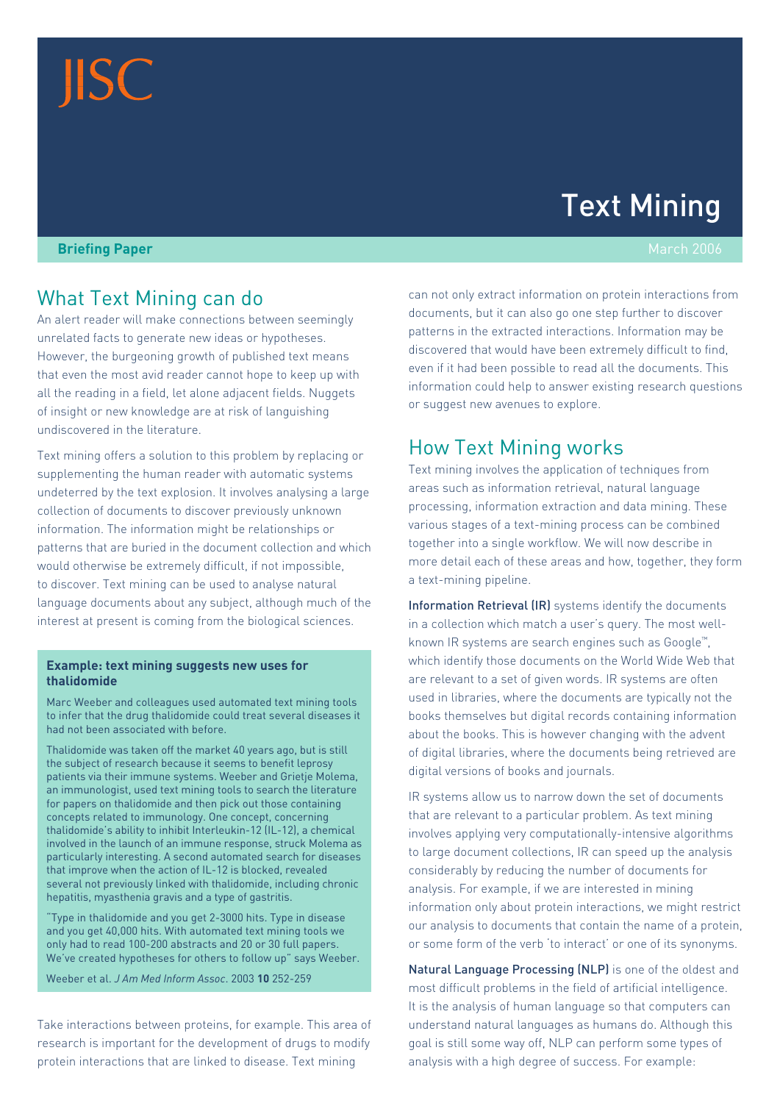# **JISC**

# Text Mining

#### **Briefing Paper** March 2006

## What Text Mining can do

An alert reader will make connections between seemingly unrelated facts to generate new ideas or hypotheses. However, the burgeoning growth of published text means that even the most avid reader cannot hope to keep up with all the reading in a field, let alone adjacent fields. Nuggets of insight or new knowledge are at risk of languishing undiscovered in the literature.

Text mining offers a solution to this problem by replacing or supplementing the human reader with automatic systems undeterred by the text explosion. It involves analysing a large collection of documents to discover previously unknown information. The information might be relationships or patterns that are buried in the document collection and which would otherwise be extremely difficult, if not impossible, to discover. Text mining can be used to analyse natural language documents about any subject, although much of the interest at present is coming from the biological sciences.

#### **Example: text mining suggests new uses for thalidomide**

Marc Weeber and colleagues used automated text mining tools to infer that the drug thalidomide could treat several diseases it had not been associated with before.

Thalidomide was taken off the market 40 years ago, but is still the subject of research because it seems to benefit leprosy patients via their immune systems. Weeber and Grietje Molema, an immunologist, used text mining tools to search the literature for papers on thalidomide and then pick out those containing concepts related to immunology. One concept, concerning thalidomide's ability to inhibit Interleukin-12 (IL-12), a chemical involved in the launch of an immune response, struck Molema as particularly interesting. A second automated search for diseases that improve when the action of IL-12 is blocked, revealed several not previously linked with thalidomide, including chronic hepatitis, myasthenia gravis and a type of gastritis.

"Type in thalidomide and you get 2-3000 hits. Type in disease and you get 40,000 hits. With automated text mining tools we only had to read 100-200 abstracts and 20 or 30 full papers. We've created hypotheses for others to follow up" says Weeber.

Weeber et al. *J Am Med Inform Assoc*. 2003 **10** 252-259

Take interactions between proteins, for example. This area of research is important for the development of drugs to modify protein interactions that are linked to disease. Text mining

can not only extract information on protein interactions from documents, but it can also go one step further to discover patterns in the extracted interactions. Information may be discovered that would have been extremely difficult to find, even if it had been possible to read all the documents. This information could help to answer existing research questions or suggest new avenues to explore.

## How Text Mining works

Text mining involves the application of techniques from areas such as information retrieval, natural language processing, information extraction and data mining. These various stages of a text-mining process can be combined together into a single workflow. We will now describe in more detail each of these areas and how, together, they form a text-mining pipeline.

Information Retrieval (IR) systems identify the documents in a collection which match a user's query. The most wellknown IR systems are search engines such as Google™, which identify those documents on the World Wide Web that are relevant to a set of given words. IR systems are often used in libraries, where the documents are typically not the books themselves but digital records containing information about the books. This is however changing with the advent of digital libraries, where the documents being retrieved are digital versions of books and journals.

IR systems allow us to narrow down the set of documents that are relevant to a particular problem. As text mining involves applying very computationally-intensive algorithms to large document collections, IR can speed up the analysis considerably by reducing the number of documents for analysis. For example, if we are interested in mining information only about protein interactions, we might restrict our analysis to documents that contain the name of a protein, or some form of the verb 'to interact' or one of its synonyms.

Natural Language Processing (NLP) is one of the oldest and most difficult problems in the field of artificial intelligence. It is the analysis of human language so that computers can understand natural languages as humans do. Although this goal is still some way off, NLP can perform some types of analysis with a high degree of success. For example: